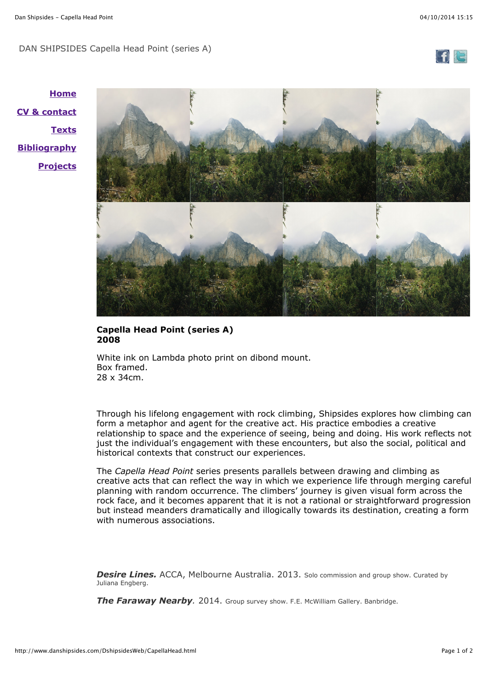## DAN SHIPSIDES Capella Head Point (series A)



**[Home](http://www.danshipsides.com/DshipsidesWeb/home.html) [CV & contact](http://www.danshipsides.com/DshipsidesWeb/cv.html) [Texts](http://www.danshipsides.com/DshipsidesWeb/statement.html) [Bibliography](http://www.danshipsides.com/DshipsidesWeb/biog.html) [Projects](http://www.danshipsides.com/DshipsidesWeb/projects.html)**



## **Capella Head Point (series A) 2008**

White ink on Lambda photo print on dibond mount. Box framed. 28 x 34cm.

Through his lifelong engagement with rock climbing, Shipsides explores how climbing can form a metaphor and agent for the creative act. His practice embodies a creative relationship to space and the experience of seeing, being and doing. His work reflects not just the individual's engagement with these encounters, but also the social, political and historical contexts that construct our experiences.

The *Capella Head Point* series presents parallels between drawing and climbing as creative acts that can reflect the way in which we experience life through merging careful planning with random occurrence. The climbers' journey is given visual form across the rock face, and it becomes apparent that it is not a rational or straightforward progression but instead meanders dramatically and illogically towards its destination, creating a form with numerous associations.

**Desire Lines.** ACCA, Melbourne Australia. 2013. Solo commission and group show. Curated by Juliana Engberg.

*The Faraway Nearby.* 2014. Group survey show. F.E. McWilliam Gallery. Banbridge.